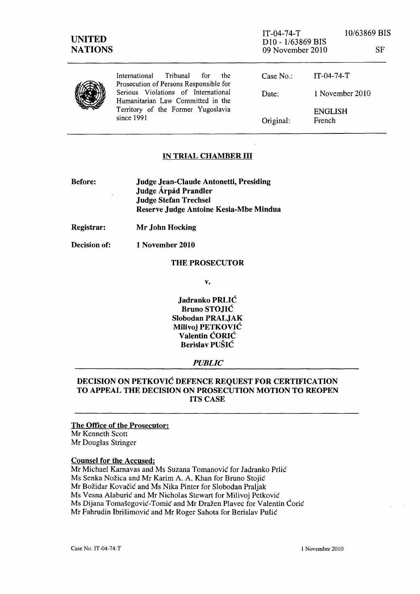SF

|  | International Tribunal<br>for<br>the<br>Prosecution of Persons Responsible for                                               | Case No.  | IT-04-74-T        |
|--|------------------------------------------------------------------------------------------------------------------------------|-----------|-------------------|
|  | Serious Violations of International<br>Humanitarian Law Committed in the<br>Territory of the Former Yugoslavia<br>since 1991 | Date:     | 1 November 2010   |
|  |                                                                                                                              | Original: | ENGLISH<br>French |

## IN TRIAL CHAMBER III

- Before: Judge Jean-Claude Antonetti, Presiding Judge Árpád Prandler Judge Stefan Trechsel Reserve Judge Antoine Kesia-Mbe Mindua
- Registrar: Mr John Hocking

Decision of: 1 November 2010

### THE PROSECUTOR

v.

Jadranko PRLIĆ Bruno STOJIĆ Slobodan PRALJAK Milivoj PETKOVIĆ Valentin ĆORIĆ Berislav PUŠIĆ

## *PUBLIC*

# DECISION ON PETKOVIĆ DEFENCE REQUEST FOR CERTIFICATION TO APPEAL THE DECISION ON PROSECUTION MOTION TO REOPEN ITS CASE

## The Office of the Prosecutor: Mr Kenneth Scott Mr Douglas Stringer

### Counsel for the Accused:

Mr Michael Karnavas and Ms Suzana Tomanović for Jadranko Prlić Ms Senka Nožica and Mr Karim A. A. Khan for Bruno Stojić Mr Božidar Kovačić and Ms Nika Pinter for Slobodan Praljak Ms Vesna Alaburić and Mr Nicholas Stewart for Milivoj Petković Ms Dijana Tomašegović-Tomić and Mr Dražen Plavec for Valentin Ćorić Mr Fahrudin Ibrišimović and Mr Roger Sahota for Berislav Pušić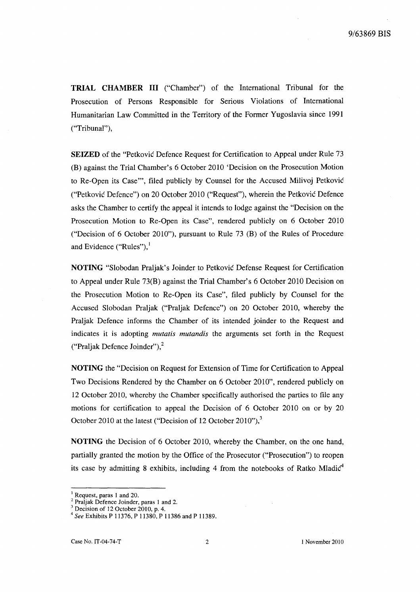**TRIAL CHAMBER III** ("Chamber") of the International Tribunal for the Prosecution of Persons Responsible for Serious Violations of International Humanitarian Law Committed in the Territory of the Former Yugoslavia since 1991 ("Tribunal"),

**SEIZED** of the "Petković Defence Request for Certification to Appeal under Rule 73 (B) against the Trial Chamber's 6 October 2010 'Decision on the Prosecution Motion to Re-Open its Case"', filed publicly by Counsel for the Accused Milivoj Petković ("Petković Defence") on 20 October 2010 ("Request"), wherein the Petković Defence asks the Chamber to certify the appeal it intends to lodge against the "Decision on the Prosecution Motion to Re-Open its Case", rendered publicly on 6 October 2010 ("Decision of 6 October 2010"), pursuant to Rule 73 (B) of the Rules of Procedure and Evidence ("Rules"), $<sup>1</sup>$ </sup>

**NOTING** "Slobodan Praljak's Joinder to Petković Defense Request for Certification to Appeal under Rule 73(B) against the Trial Chamber's 6 October 2010 Decision on the Prosecution Motion to Re-Open its Case", filed publicly by Counsel for the Accused Slobodan Praljak ("Praljak Defence") on 20 October 2010, whereby the Praljak Defence informs the Chamber of its intended joinder to the Request and indicates it is adopting *mutatis mutandis* the arguments set forth in the Request ("Praljak Defence JOinder"),2

**NOTING** the "Decision on Request for Extension of Time for Certification to Appeal Two Decisions Rendered by the Chamber on 6 October 2010", rendered publicly on 12 October 2010, whereby the Chamber specifically authorised the parties to file any motions for certification to appeal the Decision of 6 October 2010 on or by 20 October 2010 at the latest ("Decision of 12 October 2010"), $\frac{3}{2}$ 

**NOTING** the Decision of 6 October 2010, whereby the Chamber, on the one hand, partially granted the motion by the Office of the Prosecutor ("Prosecution") to reopen its case by admitting 8 exhibits, including 4 from the notebooks of Ratko Mladic<sup>4</sup>

 $\frac{1}{2}$  Request, paras 1 and 20.

<sup>&</sup>lt;sup>2</sup> Praljak Defence Joinder, paras 1 and 2.

<sup>&</sup>lt;sup>3</sup> Decision of 12 October 2010, p. 4.

*<sup>4</sup> See* Exhibits P 11376, P 11380, P 11386 and P 11389.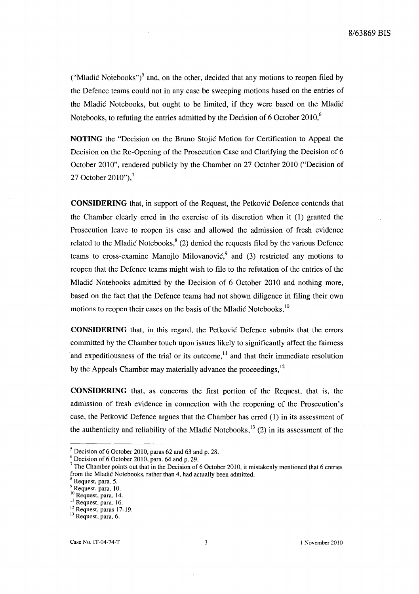("Mladić Notebooks")<sup>5</sup> and, on the other, decided that any motions to reopen filed by the Defence teams could not in any case be sweeping motions based on the entries of the Mladić Notebooks, but ought to be limited, if they were based on the Mladić Notebooks, to refuting the entries admitted by the Decision of 6 October 2010,<sup>6</sup>

**NOTING** the "Decision on the Bruno Stojić Motion for Certification to Appeal the Decision on the Re-Opening of the Prosecution Case and Clarifying the Decision of 6 October 2010", rendered publicly by the Chamber on 27 October 2010 ("Decision of 27 October 2010"), $^7$ 

**CONSIDERING** that, in support of the Request, the Petković Defence contends that the Chamber clearly erred in the exercise of its discretion when it (1) granted the Prosecution leave to reopen its case and allowed the admission of fresh evidence related to the Mladić Notebooks, $8(2)$  denied the requests filed by the various Defence teams to cross-examine Manojlo Milovanović, and (3) restricted any motions to reopen that the Defence teams might wish to file to the refutation of the entries of the Mladić Notebooks admitted by the Decision of 6 October 2010 and nothing more, based on the fact that the Defence teams had not shown diligence in filing their own motions to reopen their cases on the basis of the Mladić Notebooks, 10

**CONSIDERING** that, in this regard, the Petković Defence submits that the errors committed by the Chamber touch upon issues likely to significantly affect the fairness and expeditiousness of the trial or its outcome,  $\frac{1}{1}$  and that their immediate resolution by the Appeals Chamber may materially advance the proceedings,<sup>12</sup>

**CONSIDERING** that, as concerns the first portion of the Request, that is, the admission of fresh evidence in connection with the reopening of the Prosecution's case, the Petković Defence argues that the Chamber has erred (1) in its assessment of the authenticity and reliability of the Mladić Notebooks,<sup>13</sup> (2) in its assessment of the

 $<sup>5</sup>$  Decision of 6 October 2010, paras 62 and 63 and p. 28.</sup>

 $\frac{6}{1}$  Decision of 6 October 2010, para. 64 and p. 29.

<sup>&</sup>lt;sup>7</sup> The Chamber points out that in the Decision of 6 October 2010, it mistakenly mentioned that 6 entries from the Mladić Notebooks, rather than 4, had actually been admitted.

Request, para. 5.

<sup>&</sup>lt;sup>9</sup> Request, para. 10.

<sup>10</sup> Request, para. 14.

 $11$  Request, para. 16.

 $12$  Request, paras 17-19.

<sup>&</sup>lt;sup>13</sup> Request, para. 6.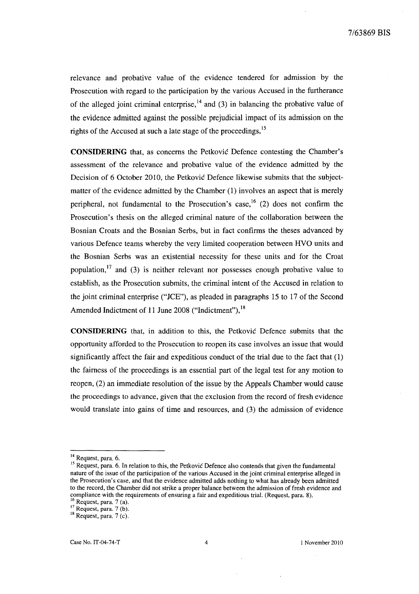relevance and probative value of the evidence tendered for admission by the Prosecution with regard to the participation by the various Accused in the furtherance of the alleged joint criminal enterprise,  $^{14}$  and (3) in balancing the probative value of the evidence admitted against the possible prejudicial impact of its admission on the rights of the Accused at such a late stage of the proceedings, <sup>15</sup>

**CONSIDERING** that, as concerns the Petković Defence contesting the Chamber's assessment of the relevance and probative value of the evidence admitted by the Decision of 6 October 2010, the Petković Defence likewise submits that the subjectmatter of the evidence admitted by the Chamber (1) involves an aspect that is merely peripheral, not fundamental to the Prosecution's case,  $16$  (2) does not confirm the Prosecution's thesis on the alleged criminal nature of the collaboration between the Bosnian Croats and the Bosnian Serbs, but in fact confirms the theses advanced by various Defence teams whereby the very limited cooperation between HVO units and the Bosnian Serbs was an existential necessity for these units and for the Croat population, $17$  and (3) is neither relevant nor possesses enough probative value to establish, as the Prosecution submits, the criminal intent of the Accused in relation to the joint criminal enterprise ("JCE"), as pleaded in paragraphs 15 to 17 of the Second Amended Indictment of 11 June 2008 ("Indictment"), 18

**CONSIDERING** that, in addition to this, the Petković Defence submits that the opportunity afforded to the Prosecution to reopen its case involves an issue that would significantly affect the fair and expeditious conduct of the trial due to the fact that (1) the fairness of the proceedings is an essential part of the legal test for any motion to reopen, (2) an immediate resolution of the issue by the Appeals Chamber would cause the proceedings to advance, given that the exclusion from the record of fresh evidence would translate into gains of time and resources, and (3) the admission of evidence

<sup>&</sup>lt;sup>14</sup> Request, para. 6.

<sup>&</sup>lt;sup>15</sup> Request, para. 6. In relation to this, the Petković Defence also contends that given the fundamental nature of the issue of the participation of the various Accused in the joint criminal enterprise alleged in the Prosecution's case, and that the evidence admitted adds nothing to what has already been admitted to the record, the Chamber did not strike a proper balance between the admission of fresh evidence and compliance with the requirements of ensuring a fair and expeditious trial. (Request, para. 8).

 $16$  Request, para. 7 (a).

 $17$  Request, para. 7 (b). <sup>18</sup> Request, para. 7 (c).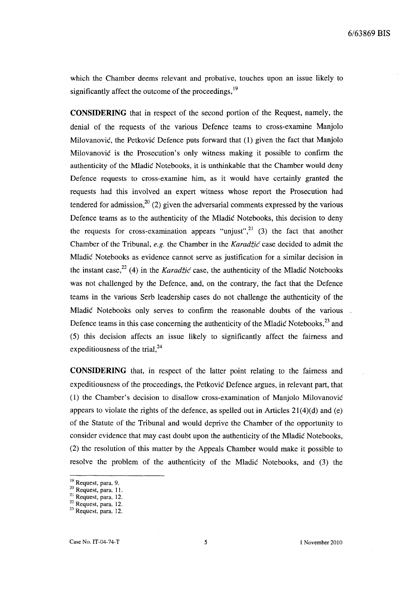which the Chamber deems relevant and probative, touches upon an issue likely to significantly affect the outcome of the proceedings,  $19$ 

**CONSIDERING** that in respect of the second portion of the Request, namely, the denial of the requests of the various Defence teams to cross-examine Manjolo Milovanović, the Petković Defence puts forward that (1) given the fact that Manjolo Milovanović is the Prosecution's only witness making it possible to confirm the authenticity of the Mladić Notebooks, it is unthinkable that the Chamber would deny Defence requests to cross-examine him, as it would have certainly granted the requests had this involved an expert witness whose report the Prosecution had tendered for admission, $2^0$  (2) given the adversarial comments expressed by the various Defence teams as to the authenticity of the Mladić Notebooks, this decision to deny the requests for cross-examination appears "unjust",  $^{21}$  (3) the fact that another Chamber of the Tribunal, *e.g.* the Chamber in the Karadžić case decided to admit the Mladić Notebooks as evidence cannot serve as justification for a similar decision in the instant case,<sup>22</sup> (4) in the *Karadžić* case, the authenticity of the Mladić Notebooks was not challenged by the Defence, and, on the contrary, the fact that the Defence teams in the various Serb leadership cases do not challenge the authenticity of the Mladić Notebooks only serves to confirm the reasonable doubts of the various Defence teams in this case concerning the authenticity of the Mladić Notebooks,<sup>23</sup> and (5) this decision affects an issue likely to significantly affect the fairness and expeditiousness of the trial,  $24$ 

**CONSIDERING** that, in respect of the latter point relating to the fairness and expeditiousness of the proceedings, the Petković Defence argues, in relevant part, that (1) the Chamber's decision to disallow cross-examination of Manjolo Milovanović appears to violate the rights of the defence, as spelled out in Articles  $21(4)(d)$  and (e) of the Statute of the Tribunal and would deprive the Chamber of the opportunity to consider evidence that may cast doubt upon the authenticity of the Mladić Notebooks, (2) the resolution of this matter by the Appeals Chamber would make it possible to resolve the problem of the authenticity of the Mladić Notebooks, and (3) the

<sup>19</sup> Request, para. 9.

 $\frac{20}{10}$  Request, para. 11.

<sup>&</sup>lt;sup>21</sup> Request, para. 12.

<sup>22</sup> Request, para. 12.

<sup>&</sup>lt;sup>23</sup> Request, para. 12.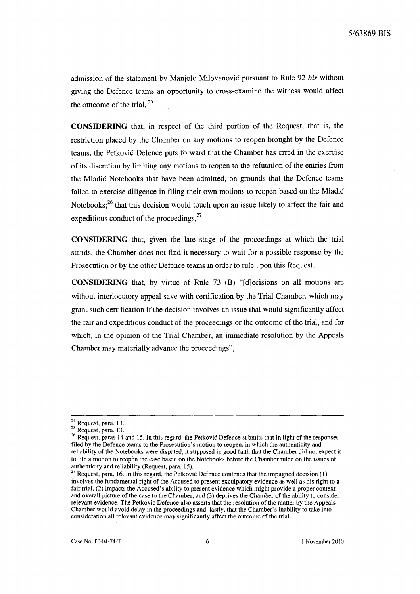admission of the statement by Manjolo Milovanović pursuant to Rule 92 *bis* without giving the Defence teams an opportunity to cross-examine the witness would affect the outcome of the trial, <sup>25</sup>

**CONSIDERING** that, in respect of the third portion of the Request, that is, the restriction placed by the Chamber on any motions to reopen brought by the Defence teams, the Petković Defence puts forward that the Chamber has erred in the exercise of its discretion by limiting any motions to reopen to the refutation of the entries from the Mladić Notebooks that have been admitted, on grounds that the Defence teams failed to exercise diligence in filing their own motions to reopen based on the Mladić Notebooks;<sup>26</sup> that this decision would touch upon an issue likely to affect the fair and expeditious conduct of the proceedings, $27$ 

**CONSIDERING** that, given the late stage of the proceedings at which the trial stands, the Chamber does not find it necessary to wait for a possible response by the Prosecution or by the other Defence teams in order to rule upon this Request,

**CONSIDERING** that, by virtue of Rule 73 (B) "[d]ecisions on all motions are without interlocutory appeal save with certification by the Trial Chamber, which may grant such certification if the decision involves an issue that would significantly affect. the fair and expeditious conduct of the proceedings or the outcome of the trial, and for which, in the opinion of the Trial Chamber, an immediate resolution by the Appeals Chamber may materially advance the proceedings",

<sup>&</sup>lt;sup>24</sup> Request, para. 13.

 $25$  Request, para. 13.

<sup>&</sup>lt;sup>26</sup> Request, paras 14 and 15. In this regard, the Petković Defence submits that in light of the responses filed by the Defence teams to the Prosecution' s motion to reopen, in which the authenticity and reliability of the Notebooks were disputed, it supposed in good faith that the Chamber did not expect it to file a motion to reopen the case based on the Notebooks before the Chamber ruled on the issues of authenticity and reliability (Request, para. 15).

 $27$  Request, para. 16. In this regard, the Petković Defence contends that the impugned decision (1) involves the fundamental right of the Accused to present exculpatory evidence as well as his right to a fair trial, (2) impacts the Accused's ability to present evidence which might provide a proper context and overall picture of the case to the Chamber, and (3) deprives the Chamber of the ability to consider relevant evidence. The Petković Defence also asserts that the resolution of the matter by the Appeals Chamber would avoid delay in the proceedings and, lastly, that the Chamber' s inability to take into consideration all relevant evidence may significantly affect the outcome of the trial.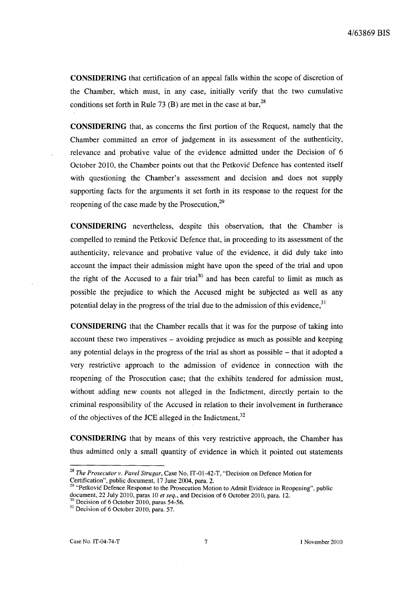**CONSIDERING** that certification of an appeal falls within the scope of discretion of the Chamber, which must, in any case, initially verify that the two cumulative conditions set forth in Rule 73 (B) are met in the case at bar,  $^{28}$ 

**CONSIDERING** that, as concerns the first portion of the Request, namely that the Chamber committed an error of judgement in its assessment of the authenticity, relevance and probative value of the evidence admitted under the Decision of 6 October 2010, the Chamber points out that the Petković Defence has contented itself with questioning the Chamber's assessment and decision and does not supply supporting facts for the arguments it set forth in its response to the request for the reopening of the case made by the Prosecution, $^{29}$ 

**CONSIDERING** nevertheless, despite this observation, that the Chamber is compelled to remind the Petković Defence that, in proceeding to its assessment of the authenticity, relevance and probative value of the evidence, it did duly take into account the impact their admission might have upon the speed of the trial and upon the right of the Accused to a fair trial<sup>30</sup> and has been careful to limit as much as possible the prejudice to which the Accused might be subjected as well as any potential delay in the progress of the trial due to the admission of this evidence.<sup>31</sup>

**CONSIDERING** that the Chamber recalls that it was for the purpose of taking into account these two imperatives - avoiding prejudice as much as possible and keeping any potential delays in the progress of the trial as short as possible - that it adopted a very restrictive approach to the admission of evidence in connection with the reopening of the Prosecution case; that the exhibits tendered for admission must, without adding new counts not alleged in the Indictment, directly pertain to the criminal responsibility of the Accused in relation to their involvement in furtherance of the objectives of the JCE alleged in the Indictment,<sup>32</sup>

**CONSIDERING** that by means of this very restrictive approach, the Chamber has thus admitted only a small quantity of evidence in which it pointed out statements

<sup>&</sup>lt;sup>28</sup> The Prosecutor v. Pavel Strugar, Case No. IT-01-42-T, "Decision on Defence Motion for Certification", public document, 17 June 2004, para. 2.

<sup>&</sup>lt;sup>29</sup> "Petković Defence Response to the Prosecution Motion to Admit Evidence in Reopening", public document, 22 July 2010, paras 10 *et seq.,* and Decision of 6 October 2010, para. 12.

 $30$  Decision of 6 October 2010, paras 54-56.

 $31$  Decision of 6 October 2010, para. 57.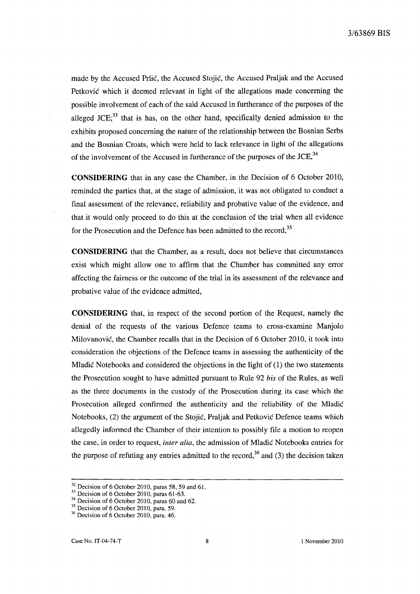made by the Accused Prlić, the Accused Stojić, the Accused Praljak and the Accused Petković which it deemed relevant in light of the allegations made concerning the possible involvement of each of the said Accused in furtherance of the purposes of the alleged JCE; $^{33}$  that is has, on the other hand, specifically denied admission to the exhibits proposed concerning the nature of the relationship between the Bosnian Serbs and the Bosnian Croats, which were held to lack relevance in light of the allegations of the involvement of the Accused in furtherance of the purposes of the JCE,<sup>34</sup>

**CONSIDERING** that in any case the Chamber, in the Decision of 6 October 2010, reminded the parties that, at the stage of admission, it was not obligated to conduct a final assessment of the relevance, reliability and probative value of the evidence, and that it would only proceed to do this at the conclusion of the trial when all evidence for the Prosecution and the Defence has been admitted to the record,<sup>35</sup>

**CONSIDERING** that the Chamber, as a result, does not believe that circumstances exist which might allow one to affirm that the Chamber has committed any error affecting the fairness or the outcome of the trial in its assessment of the relevance and probative value of the evidence admitted,

**CONSIDERING** that, in respect of the second portion of the Request, namely the denial of the requests of the various Defence teams to cross-examine Manjolo Milovanović, the Chamber recalls that in the Decision of 6 October 2010, it took into consideration the objections of the Defence teams in assessing the authenticity of the Mladić Notebooks and considered the objections in the light of (1) the two statements the Prosecution sought to have admitted pursuant to Rule 92 *bis* of the Rules, as well as the three documents in the custody of the Prosecution during its case which the Prosecution alleged confirmed the authenticity and the reliability of the Mladić Notebooks, (2) the argument of the Stojić, Praljak and Petković Defence teams which allegedly informed the Chamber of their intention to possibly file a motion to reopen the case, in order to request, *inter alia*, the admission of Mladić Notebooks entries for the purpose of refuting any entries admitted to the record,<sup>36</sup> and (3) the decision taken

 $32$  Decision of 6 October 2010, paras 58, 59 and 61.

 $33$  Decision of 6 October 2010, paras 61-63.

 $34$  Decision of 6 October 2010, paras 60 and 62.

 $35$  Decision of 6 October 2010, para. 59.

<sup>36</sup> Decision of 6 October 2010, para. 46.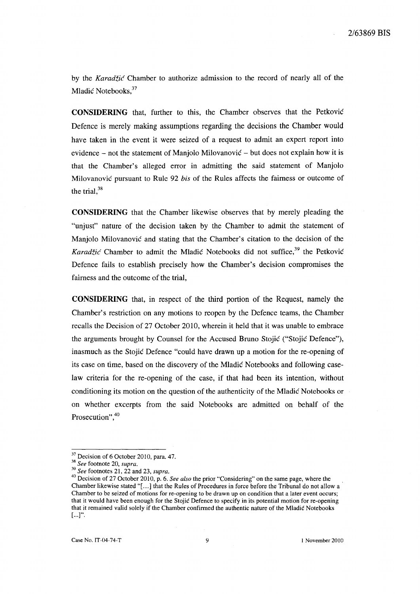by the Karadžić Chamber to authorize admission to the record of nearly all of the Mladić Notebooks, 37

**CONSIDERING** that, further to this, the Chamber observes that the Petković Defence is merely making assumptions regarding the decisions the Chamber would have taken in the event it were seized of a request to admit an expert report into evidence – not the statement of Manjolo Milovanović – but does not explain how it is that the Chamber's alleged error in admitting the said statement of Manjolo Milovanović pursuant to Rule 92 *bis* of the Rules affects the fairness or outcome of the trial,  $38$ 

**CONSIDERING** that the Chamber likewise observes that by merely pleading the "unjust" nature of the decision taken by the Chamber to admit the statement of Manjolo Milovanović and stating that the Chamber's citation to the decision of the Karadžić Chamber to admit the Mladić Notebooks did not suffice,  $39$  the Petković Defence fails to establish precisely how the Chamber's decision compromises the fairness and the outcome of the trial,

**CONSIDERING** that, in respect of the third portion of the Request, namely the Chamber's restriction on any motions to reopen by the Defence teams, the Chamber recalls the Decision of 27 October 2010, wherein it held that it was unable to embrace the arguments brought by Counsel for the Accused Bruno Stojić ("Stojić Defence"), inasmuch as the Stojić Defence "could have drawn up a motion for the re-opening of its case on time, based on the discovery of the Mladić Notebooks and following caselaw criteria for the re-opening of the case, if that had been its intention, without conditioning its motion on the question of the authenticity of the Mladić Notebooks or on whether excerpts from the said Notebooks are admitted on behalf of the Prosecution", 40

<sup>&</sup>lt;sup>37</sup> Decision of 6 October 2010, para. 47.

<sup>38</sup>*See* footnote 20, *supra.* 

*<sup>39</sup> See* footnotes 21, 22 and 23, *supra.* 

<sup>&</sup>lt;sup>40</sup> Decision of 27 October 2010, p. 6. *See also* the prior "Considering" on the same page, where the Chamber likewise stated "[ ... J that the Rules of Procedures in force before the Tribunal do not allow a Chamber to be seized of motions for re-opening to be drawn up on condition that a later event occurs; that it would have been enough for the Stojić Defence to specify in its potential motion for re-opening that it remained valid solely if the Chamber confirmed the authentic nature of the Mladić Notebooks  $[...]'.$